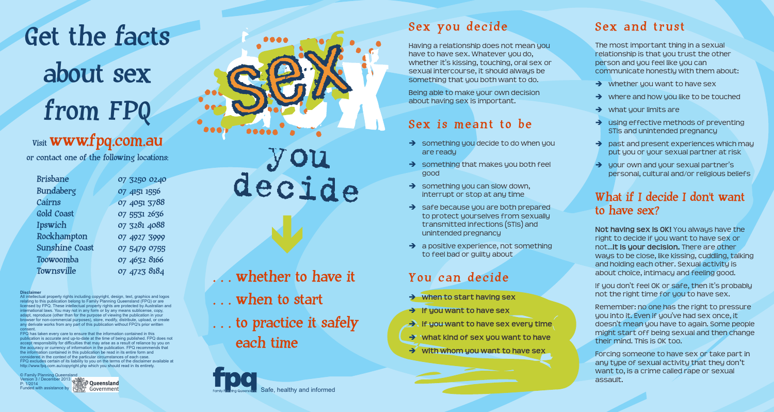Get the facts about sex from FPQ

# $_{\rm Visit}$  www.fpq.com.au

or contact one of the following locations:

| Brisbane              | 07 3250 0240 |
|-----------------------|--------------|
| <b>Bundaberg</b>      | 07 4151 1556 |
| Cairns                | 07 4051 3788 |
| Gold Coast            | 07 5531 2636 |
| Ipswich               | 07 3281 4088 |
| Rockhampton           | 07 4927 3999 |
| <b>Sunshine Coast</b> | 07 5479 0755 |
| Toowoomba             | 07 4632 8166 |
| Townsville            | 07 4723 8184 |
|                       |              |

**Disclaimer**<br>All intellectual property rights including copyright, design, text, graphics and logos<br>relating to this publication belong to Family Planning Queensland (FPQ) or are licensed by FPQ. These intellectual property rights are protected by Australian and international laws. You may not in any form or by any means sublicense, copy, adapt, reproduce (other than for the purpose of viewing the publication in your browser for non-commercial purposes), store, modify, distribute, upload, or create any derivate works from any part of this publication without FPQ's prior written

consent. FPQ has taken every care to ensure that the information contained in this publication is accurate and up-to-date at the time of being published. FPQ does not sponsibility for difficulties that may arise as a result of reliance by you on the accuracy or currency of information in the publication. FPQ recommends that the information contained in this publication be read in its entire form and considered in the context of the particular circumstances of each case. FPQ excludes certain of its liability to you on the terms of the disclaimer available at http://www.fpq.com.au/copyright.php which you should read in its entirety.

© Family Planning Queensland Version 3 / December 2013 P: 1/2014 Funded with assistance by



Safe, healthy and informed

## Sex you decide

Having a relationship does not mean you have to have sex. Whatever you do, whether it's kissing, touching, oral sex or sexual intercourse, it should always be something that you both want to do.

Being able to make your own decision about having sex is important.

## Sex is meant to be

- $\rightarrow$  something you decide to do when you are ready
- $\rightarrow$  something that makes you both feel good
- $\rightarrow$  something you can slow down, interrupt or stop at any time
- $\rightarrow$  safe because you are both prepared to protect yourselves from sexually transmitted infections (STIs) and unintended pregnancy
- $\rightarrow$  a positive experience, not something to feel bad or guilty about

## You can decide

- è **when to start having sex**
- è **if you want to have sex**
- è **if you want to have sex every time**
- è **what kind of sex you want to have**
- $\rightarrow$  with whom you want to have sex

## Sex and trust

The most important thing in a sexual relationship is that you trust the other person and you feel like you can communicate honestly with them about:

- $\rightarrow$  whether you want to have sex
- $\rightarrow$  where and how you like to be touched
- $\rightarrow$  what your limits are
- $\rightarrow$  using effective methods of preventing STIs and unintended pregnancy
- $\rightarrow$  past and present experiences which may put you or your sexual partner at risk
- $\rightarrow$  your own and your sexual partner's personal, cultural and/or religious beliefs

#### What if I decide I don't want to have sex?

**Not having sex is OK!** You always have the not... it is your decision. There are other right to decide if you want to have sex or ways to be close, like kissing, cuddling, talking and holding each other. Sexual activity is about choice, intimacy and feeling good.

If you don't feel OK or safe, then it's probably not the right time for you to have sex.

you into it. Even if you've had sex once, it doesn't mean you have to again. Some people might start off being sexual and then change their mind. This is OK too. Remember: no one has the right to pressure

Forcing someone to have sex or take part in any type of sexual activity that they don't want to, is a crime called rape or sexual assault.